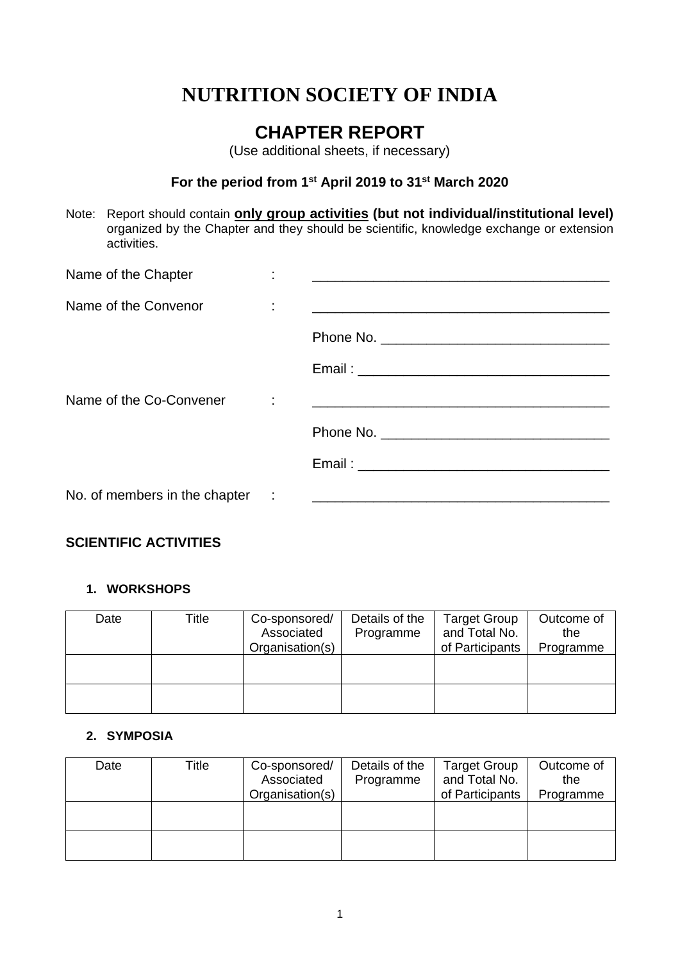# **NUTRITION SOCIETY OF INDIA**

# **CHAPTER REPORT**

(Use additional sheets, if necessary)

## **For the period from 1st April 2019 to 31st March 2020**

Note: Report should contain **only group activities (but not individual/institutional level)** organized by the Chapter and they should be scientific, knowledge exchange or extension activities.

| Name of the Chapter           |                                                                                                                      |
|-------------------------------|----------------------------------------------------------------------------------------------------------------------|
| Name of the Convenor          | <u> 2000 - Jan James James Jan James James James James James James James James James James James James James Jam</u> |
|                               |                                                                                                                      |
|                               |                                                                                                                      |
| Name of the Co-Convener       |                                                                                                                      |
|                               |                                                                                                                      |
|                               |                                                                                                                      |
| No. of members in the chapter |                                                                                                                      |

# **SCIENTIFIC ACTIVITIES**

#### **1. WORKSHOPS**

| Date | Title | Co-sponsored/<br>Associated<br>Organisation(s) | Details of the<br>Programme | <b>Target Group</b><br>and Total No.<br>of Participants | Outcome of<br>the<br>Programme |
|------|-------|------------------------------------------------|-----------------------------|---------------------------------------------------------|--------------------------------|
|      |       |                                                |                             |                                                         |                                |
|      |       |                                                |                             |                                                         |                                |

### **2. SYMPOSIA**

| Date | Title | Co-sponsored/<br>Associated<br>Organisation(s) | Details of the<br>Programme | <b>Target Group</b><br>and Total No.<br>of Participants | Outcome of<br>the<br>Programme |
|------|-------|------------------------------------------------|-----------------------------|---------------------------------------------------------|--------------------------------|
|      |       |                                                |                             |                                                         |                                |
|      |       |                                                |                             |                                                         |                                |